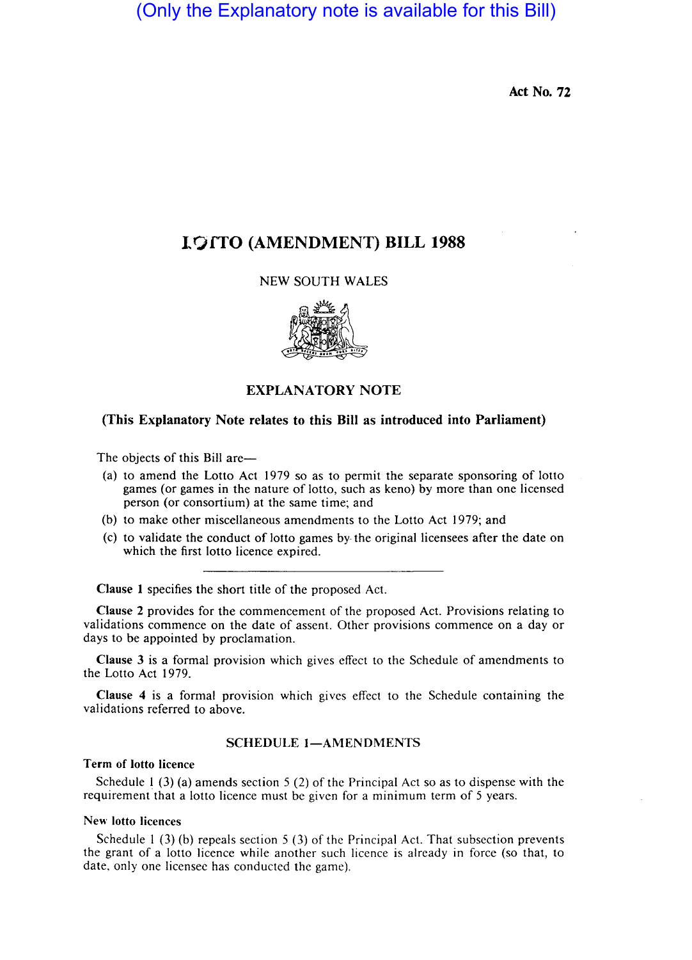(Only the Explanatory note is available for this Bill)

Act No. 72

# I QTTO (AMENDMENT) BILL 1988

## NEW SOUTH WALES



## EXPLANATORY NOTE

### (This Explanatory Note relates to this Bill as introduced into Parliament)

The objects of this Bill are-

- (a) to amend the Lotto Act 1979 so as to permit the separate sponsoring of lotto games (or games in the nature of lotto, such as keno) by more than one licensed person (or consortium) at the same time; and
- (b) to make other miscellaneous amendments to the Lotto Act 1979; and
- (c) to validate the conduct of lotto games by- the original licensees after the date on which the first lotto licence expired.

Clause 1 specifies the short title of the proposed Act.

Clause 2 provides for the commencement of the proposed Act. Provisions relating to validations commence on the date of assent. Other provisions commence on a day or days to be appointed by proclamation.

Clause 3 is a formal provision which gives effect to the Schedule of amendments to the Lotto Act 1979.

Clause 4 is a formal provision which gives effect to the Schedule containing the validations referred to above.

## SCHEDULE 1-AMENDMENTS

### Term of lotto licence

Schedule 1 (3) (a) amends section 5 (2) of the Principal Act so as to dispense with the requirement that a lotto licence must be given for a minimum term of 5 years.

#### New lotto licences

Schedule  $1$  (3) (b) repeals section  $5$  (3) of the Principal Act. That subsection prevents the grant of a lotto licence while another such licence is already in force (so that, to date, only one licensee has conducted the game).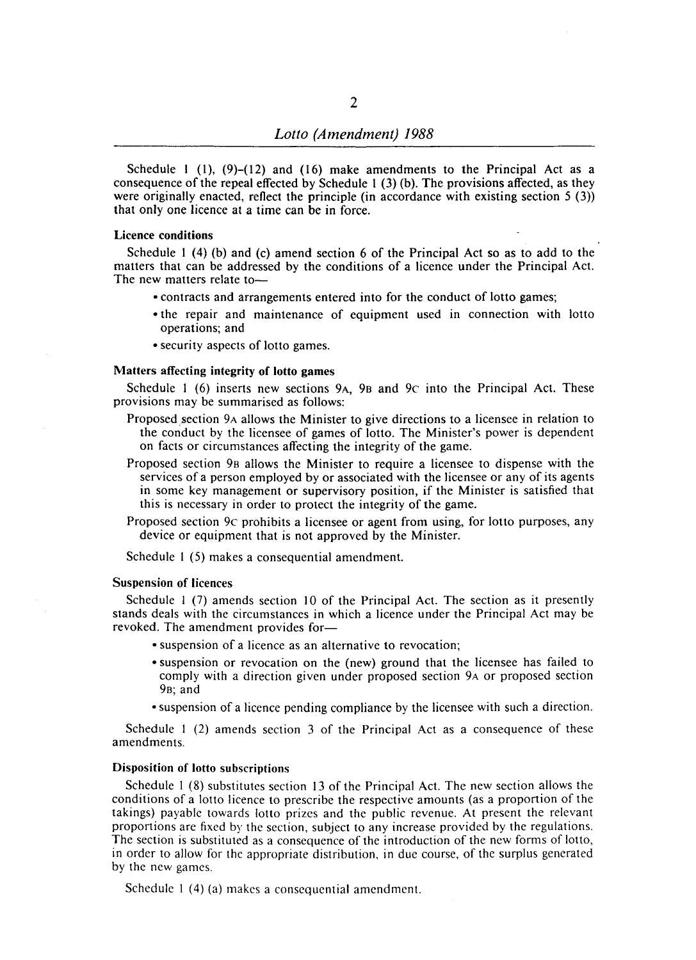Schedule 1 (1),  $(9)$ – $(12)$  and  $(16)$  make amendments to the Principal Act as a consequence of the repeal effected by Schedule 1 (3) (b). The provisions affected, as they were originally enacted, reflect the principle (in accordance with existing section 5 (3)) that only one licence at a time can be in force.

#### Licence conditions

Schedule I (4) (b) and (c) amend section 6 of the Principal Act so as to add to the matters that can be addressed by the conditions of a licence under the Principal Act. The new matters relate to-

- contracts and arrangements entered into for the conduct of lotto games;
- o the repair and maintenance of equipment used in connection with lotto operations; and
- security aspects of lotto games.

#### Matters affecting integrity of lotto games

Schedule 1 (6) inserts new sections 9A, 9B and 9c into the Principal Act. These provisions may be summarised as follows:

- Proposed section 9A allows the Minister to give directions to a licensee in relation to the conduct by the licensee of games of lotto. The Minister's power is dependent on facts or circumstances affecting the integrity of the game.
- Proposed section 98 allows the Minister to require a licensee to dispense with the services of a person employed by or associated with the licensee or any of its agents in some key management or supervisory position, if the Minister is satisfied that this is necessary in order to protect the integrity of the game.
- Proposed section 9c prohibits a licensee or agent from using, for lotto purposes, any device or equipment that is not approved by the Minister.

Schedule I (5) makes a consequential amendment.

#### Suspension of licences

Schedule I (7) amends section 10 of the Principal Act. The section as it presently stands deals with the circumstances in which a licence under the Principal Act may be revoked. The amendment provides for-

- suspension of a licence as an alternative to revocation;
- suspension or revocation on the (new) ground that the licensee has failed to comply with a direction given under proposed section 9A or proposed section 98; and
- suspension of a licence pending compliance by the licensee with such a direction.

Schedule I (2) amends section 3 of the Principal Act as a consequence of these amendments.

#### Disposition of lotto subscriptions

Schedule I (8) substitutes section 13 of the Principal Act. The new section allows the conditions of a lotto licence to prescribe the respective amounts (as a proportion of the takings) payable towards lotto prizes and the public revenue. At present the relevant proportions are fixed by the section, subject to any increase provided by the regulations. The section is substituted as a consequence of the introduction of the new forms of lotto, in order to allow for the appropriate distribution, in duc course, of the surplus generated by the new games.

Schedule 1 (4) (a) makes a consequential amendment.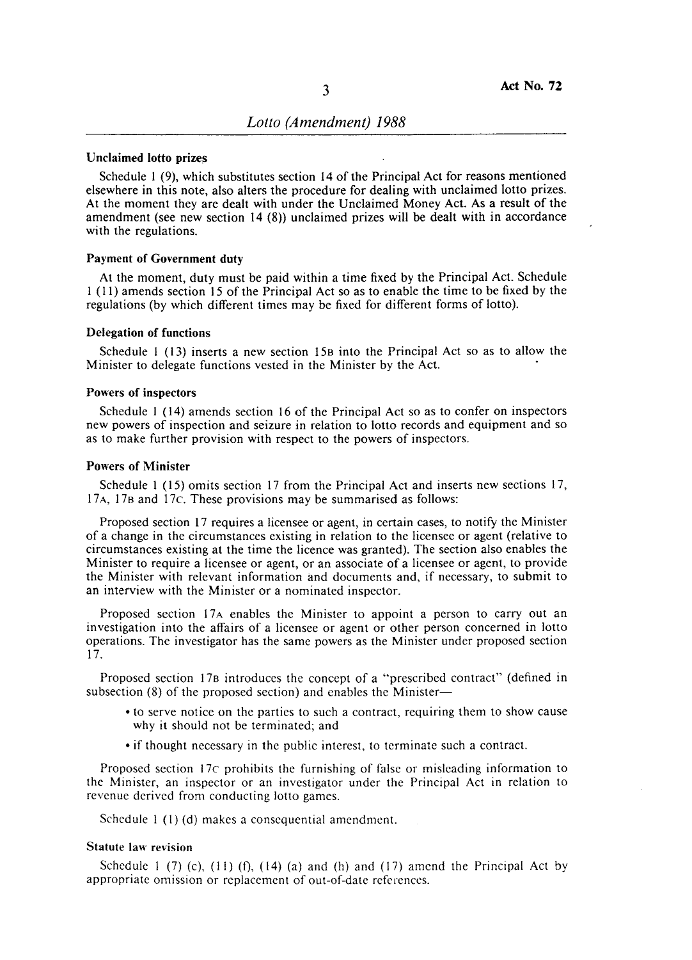## Unclaimed lotto prizes

Schedule I (9), which substitutes section 14 of the Principal Act for reasons mentioned elsewhere in this note, also alters the procedure for dealing with unclaimed lotto prizes. At the moment they are dealt with under the Unclaimed Money Act. As a result of the amendment (see new section  $14(8)$ ) unclaimed prizes will be dealt with in accordance with the regulations.

#### Payment of Government duty

At the moment, duty must be paid within a time fixed by the Principal Act. Schedule I (11) amends section 15 of the Principal Act so as to enable the time to be fixed by the regulations (by which different times may be fixed for different forms of lotto).

#### Delegation of functions

Schedule 1 (13) inserts a new section 15B into the Principal Act so as to allow the Minister to delegate functions vested in the Minister by the Act. •

#### Powers of inspectors

Schedule I (14) amends section 16 of the Principal Act so as to confer on inspectors new powers of inspection and seizure in relation to lotto records and equipment and so as to make further provision with respect to the powers of inspectors.

#### Powers of Minister

Schedule I (15) omits section 17 from the Principal Act and inserts new sections 17, 17 A, 17B and 17c. These provisions may be summarised as follows:

Proposed section 17 requires a licensee or agent, in certain cases, to notify the Minister of a change in the circumstances existing in relation to the licensee or agent (relative to circumstances existing at the time the licence was granted). The section also enables the Minister to require a licensee or agent, or an associate of a licensee or agent, to provide the Minister with relevant information and documents and, if necessary, to submit to an interview with the Minister or a nominated inspector.

Proposed section 17A enables the Minister to appoint a person to carry out an investigation into the affairs of a licensee or agent or other person concerned in lotto operations. The investigator has the same powers as the Minister under proposed section 17.

Proposed section 17B introduces the concept of a "prescribed contract" (defined in subsection (8) of the proposed section) and enables the Minister-

- to serve notice on the parties to such a contract, requiring them to show cause why it should not be terminated; and
- if thought necessary in the public interest, to terminate such a contract.

Proposed section 17c prohibits the furnishing of false or misleading information to the Minister, an inspector or an investigator under the Principal Act in relation to revenue derived from conducting lotto games.

Schedule I (I) (d) makes a consequential amendment.

## Statute law revision

Schedule 1 (7) (c),  $(11)$  (f),  $(14)$  (a) and (h) and (17) amend the Principal Act by appropriate omission or replacement of out-of-date references.